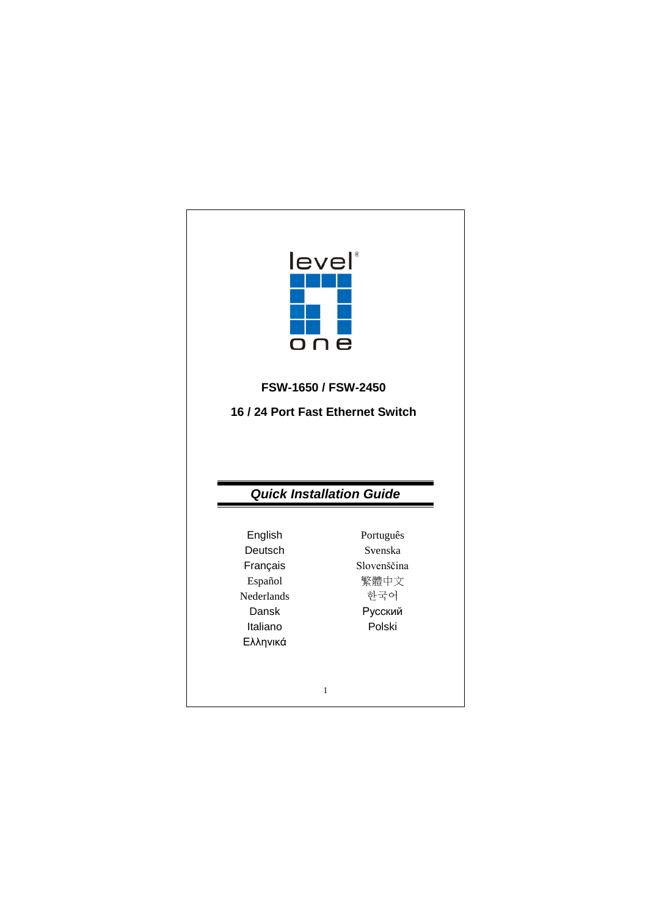| leve<br>o n                       | e                               |
|-----------------------------------|---------------------------------|
|                                   | FSW-1650 / FSW-2450             |
|                                   |                                 |
| 16 / 24 Port Fast Ethernet Switch |                                 |
|                                   | <b>Quick Installation Guide</b> |
|                                   |                                 |
| English                           | Português<br>Svenska            |
| Deutsch                           | Slovenščina                     |
| Français                          |                                 |
| Español<br>Nederlands             | 繁體中文<br>한국어                     |
| Dansk                             |                                 |
| Italiano                          | Русский<br>Polski               |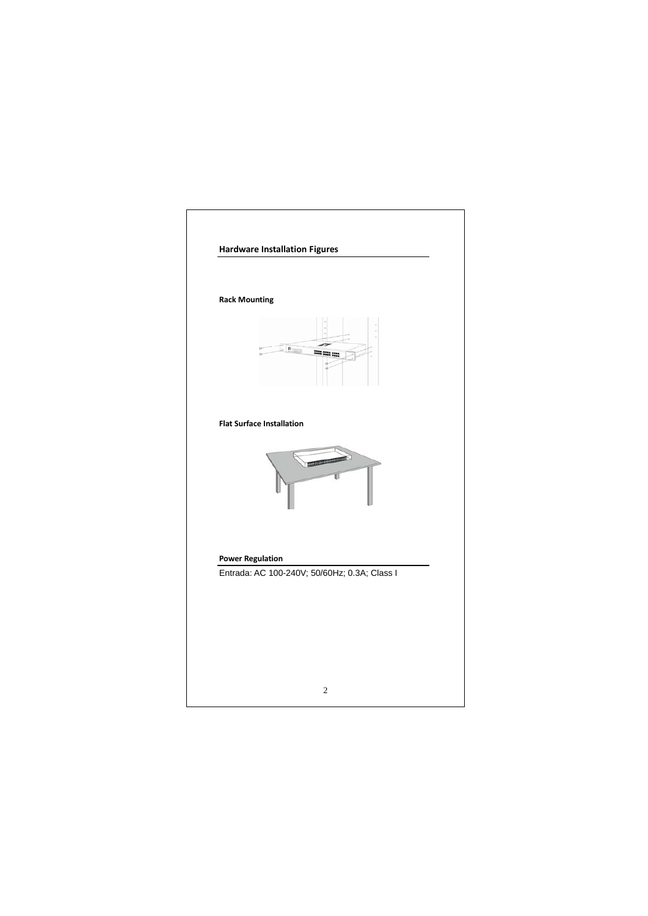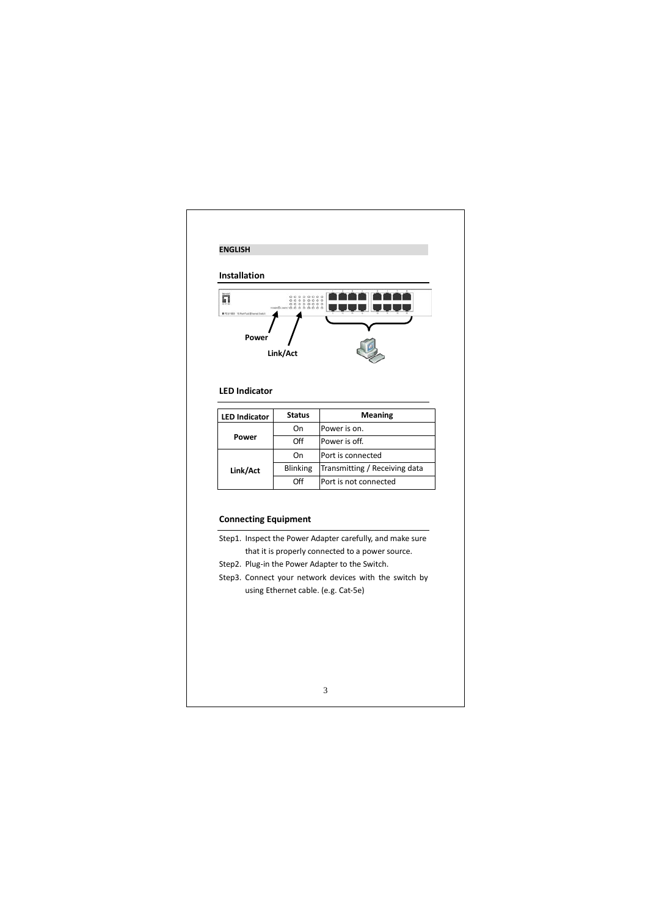![](_page_2_Figure_0.jpeg)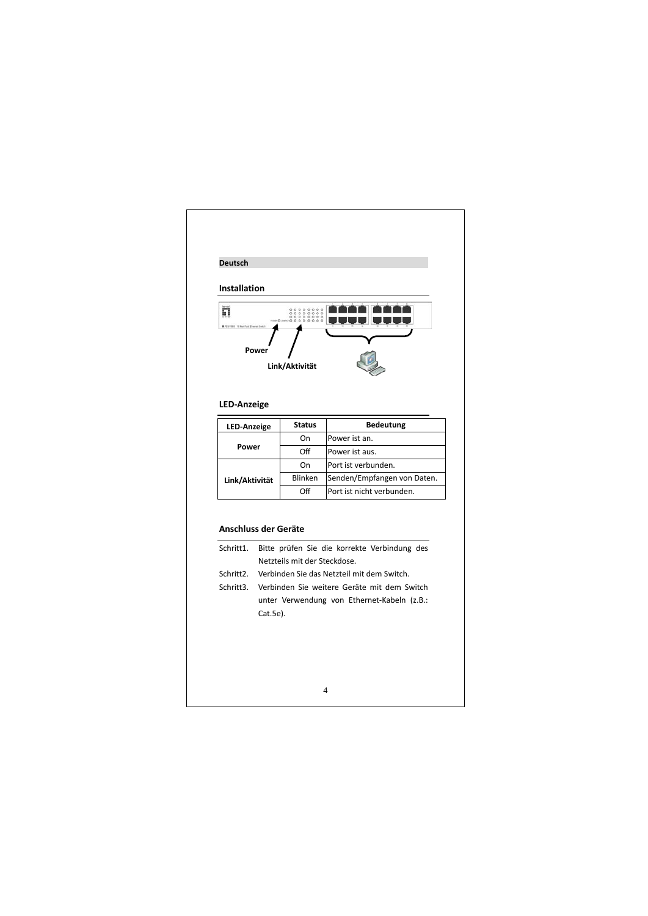![](_page_3_Figure_0.jpeg)

## 4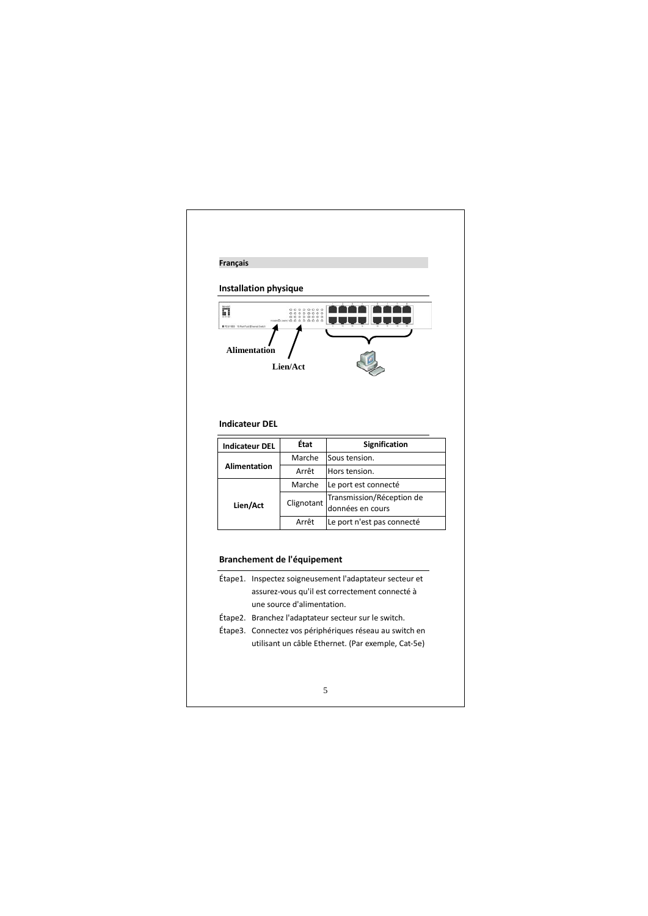![](_page_4_Figure_0.jpeg)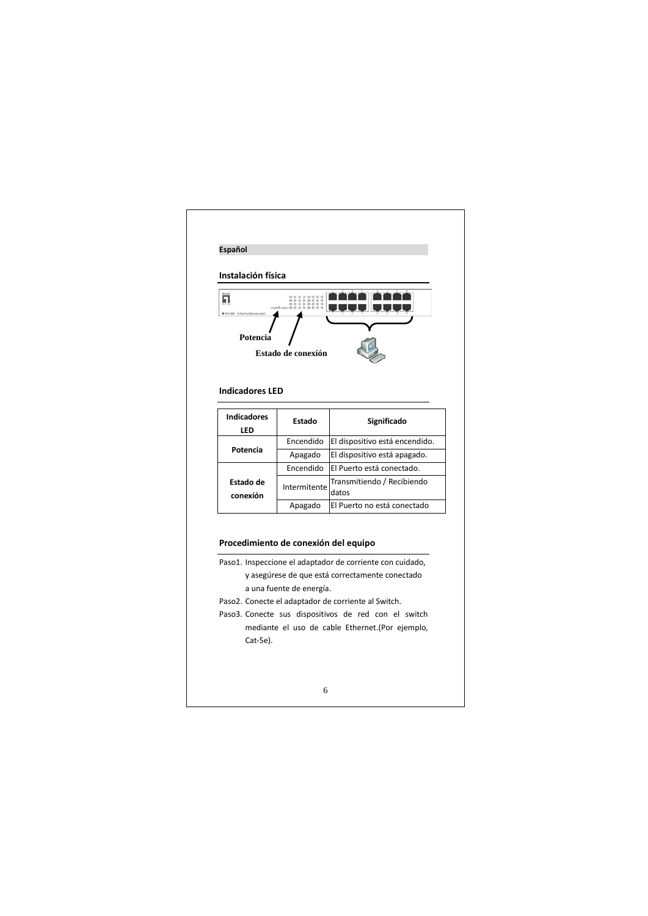![](_page_5_Figure_0.jpeg)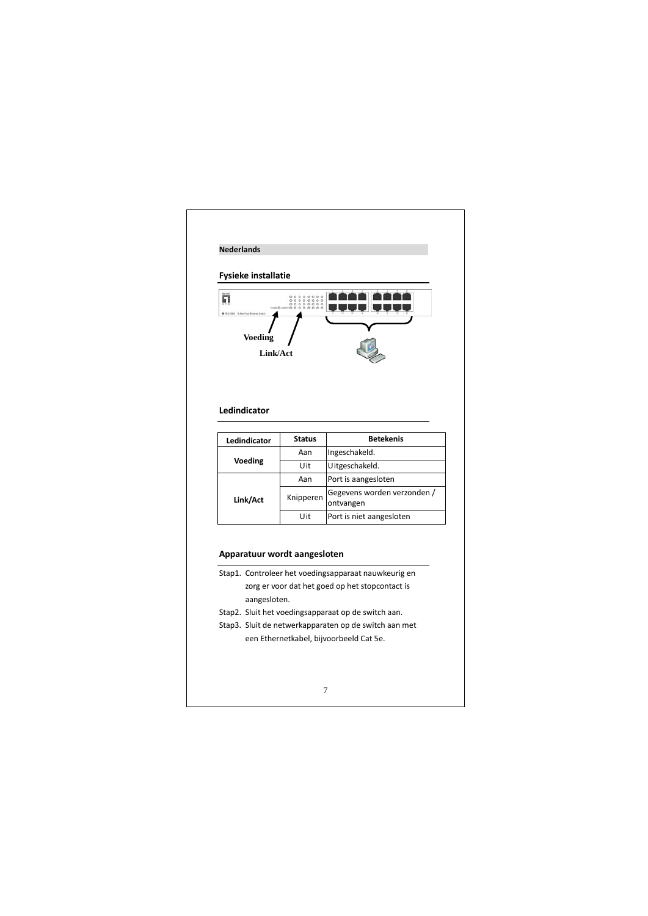![](_page_6_Figure_0.jpeg)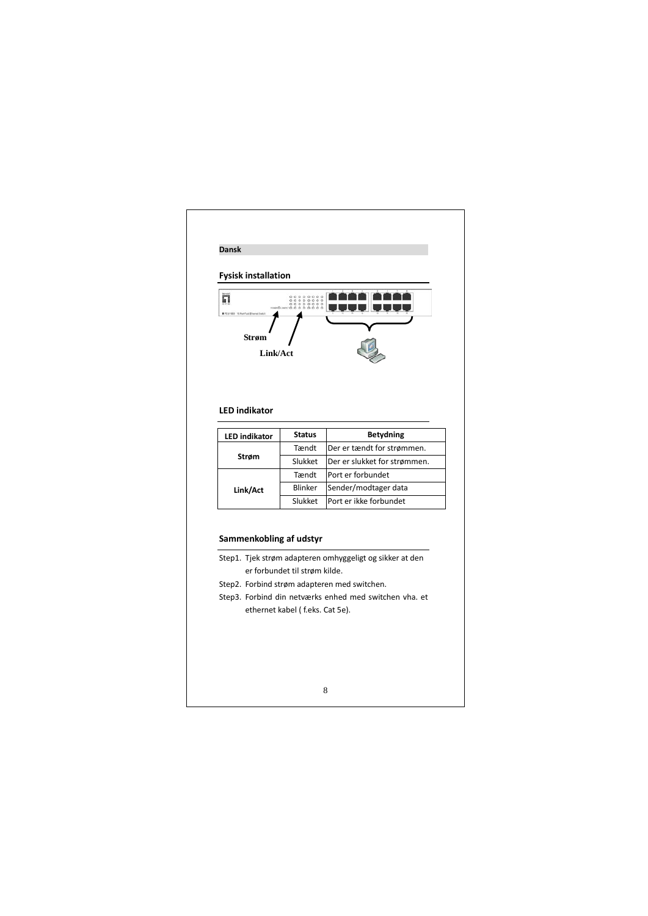![](_page_7_Figure_0.jpeg)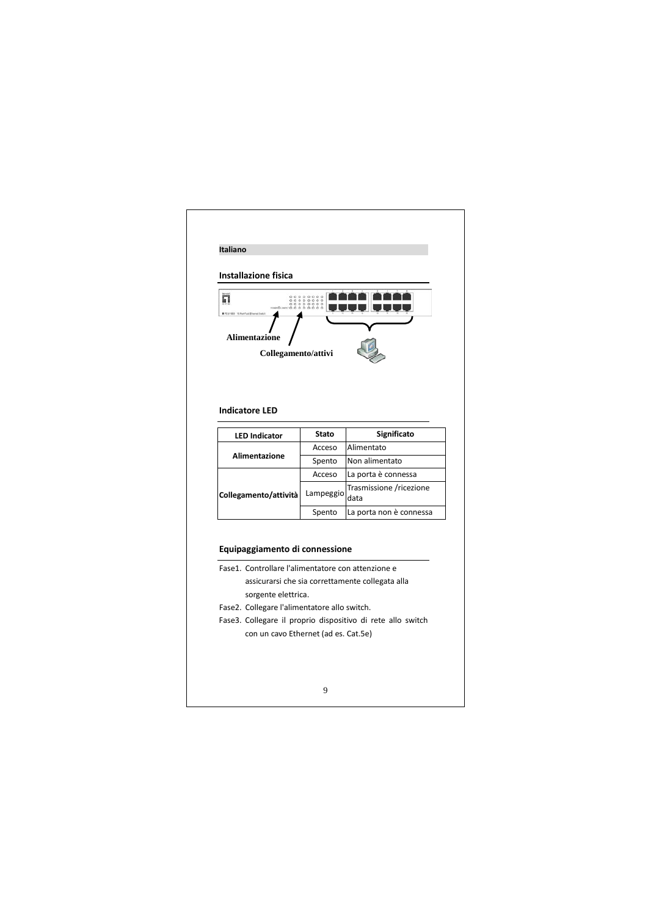| <b>Installazione fisica</b>                                                                                                                                 |              |                                                             |
|-------------------------------------------------------------------------------------------------------------------------------------------------------------|--------------|-------------------------------------------------------------|
| 罰<br><b>Alimentazione</b><br>Collegamento/attivi                                                                                                            |              |                                                             |
| <b>Indicatore LED</b>                                                                                                                                       | <b>Stato</b> | Significato                                                 |
| <b>LED Indicator</b>                                                                                                                                        | Acceso       | Alimentato                                                  |
| <b>Alimentazione</b>                                                                                                                                        | Spento       | Non alimentato                                              |
|                                                                                                                                                             | Acceso       | La porta è connessa                                         |
| Collegamento/attività                                                                                                                                       | Lampeggio    | Trasmissione /ricezione<br>data                             |
|                                                                                                                                                             | Spento       | La porta non è connessa                                     |
|                                                                                                                                                             |              |                                                             |
| Equipaggiamento di connessione<br>Fase1. Controllare l'alimentatore con attenzione e<br>sorgente elettrica.<br>Fase2. Collegare l'alimentatore allo switch. |              | assicurarsi che sia correttamente collegata alla            |
|                                                                                                                                                             |              | Fase3. Collegare il proprio dispositivo di rete allo switch |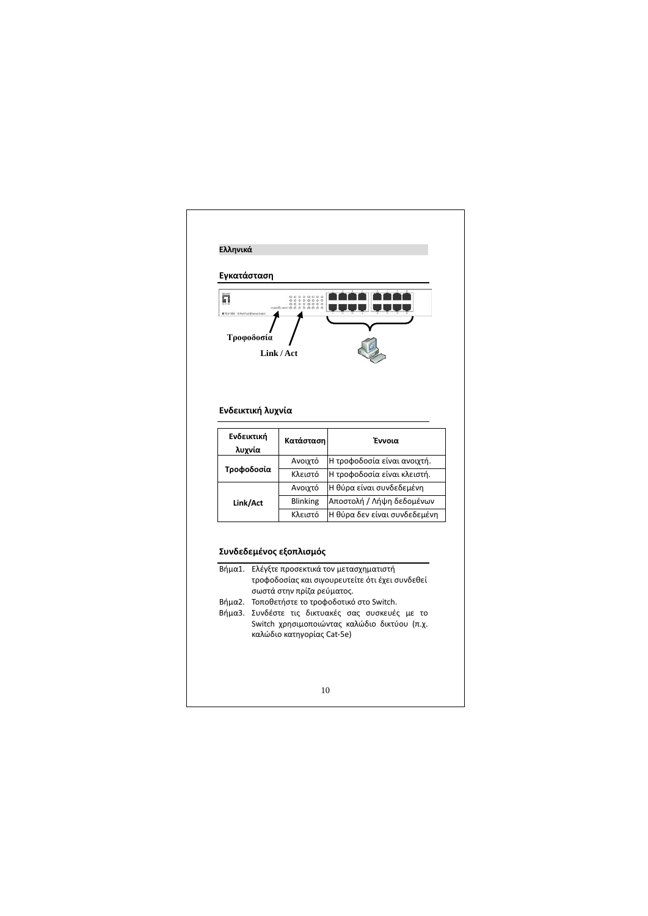![](_page_9_Figure_0.jpeg)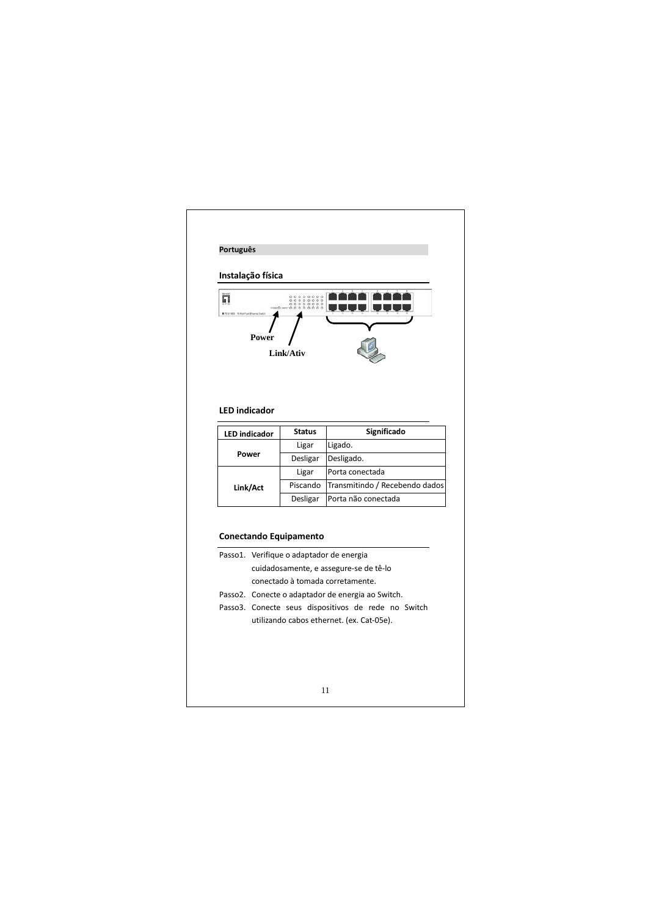![](_page_10_Figure_0.jpeg)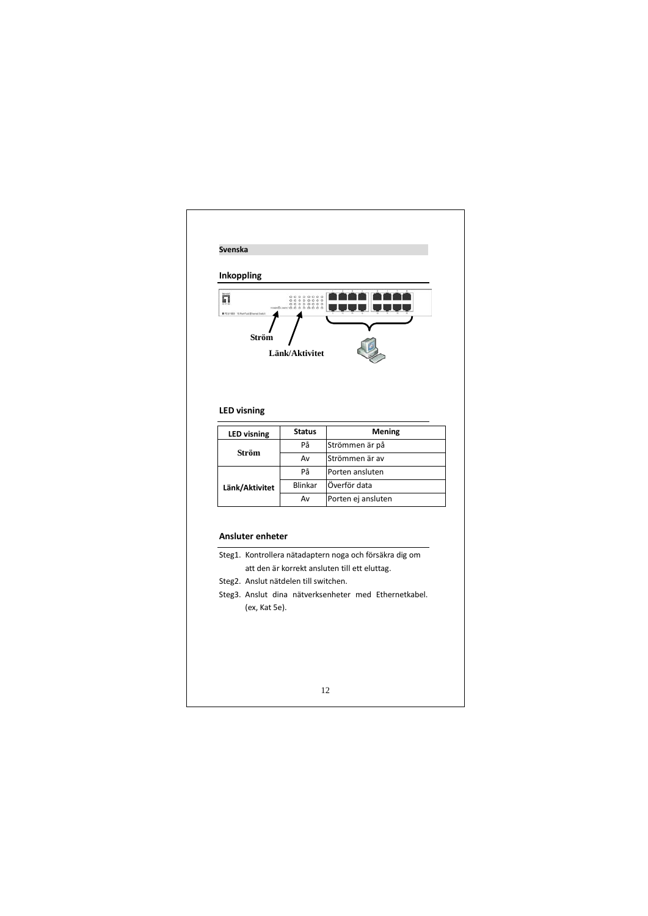![](_page_11_Figure_0.jpeg)

## **Ansluter enheter**

- Steg1. Kontrollera nätadaptern noga och försäkra dig om att den är korrekt ansluten till ett eluttag.
- Steg2. Anslut nätdelen till switchen.
- Steg3. Anslut dina nätverksenheter med Ethernetkabel. (ex, Kat 5e).

## 12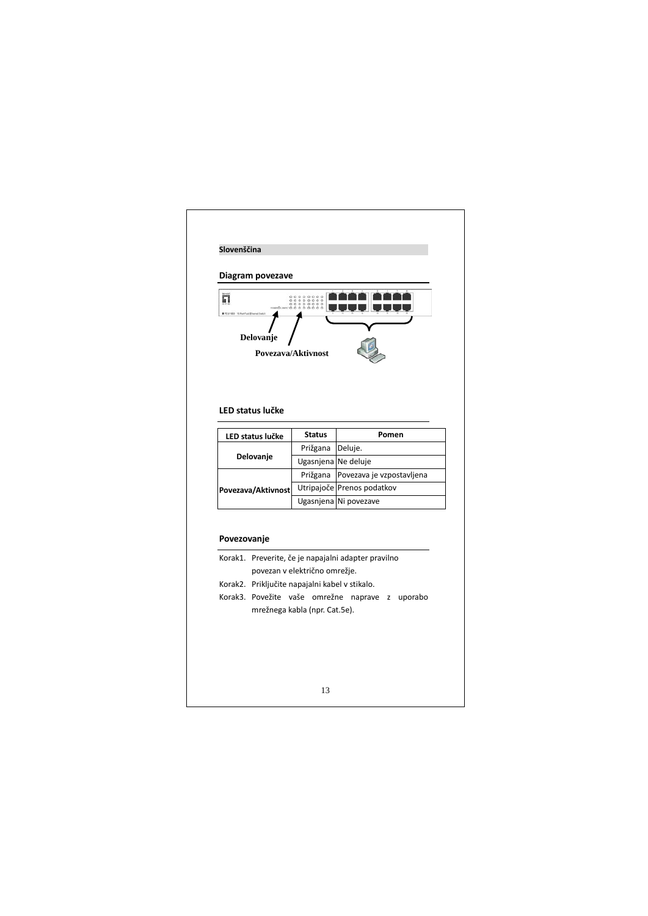| ព                  | Diagram povezave | 00000000<br>000000000<br>000000000             |                                                     |
|--------------------|------------------|------------------------------------------------|-----------------------------------------------------|
|                    | Delovanje        | Povezava/Aktivnost                             |                                                     |
|                    | LED status lučke |                                                | Pomen                                               |
|                    | LED status lučke | <b>Status</b><br>Prižgana                      | Deluje.                                             |
|                    | Delovanje        | Ugasnjena Ne deluje                            |                                                     |
|                    |                  | Prižgana                                       | Povezava je vzpostavljena                           |
|                    |                  |                                                | Utripajoče Prenos podatkov                          |
|                    |                  |                                                | Ugasnjena Ni povezave                               |
| Povezava/Aktivnost |                  |                                                |                                                     |
| Povezovanje        |                  |                                                |                                                     |
|                    |                  |                                                | Korak1. Preverite, če je napajalni adapter pravilno |
|                    |                  | povezan v električno omrežje.                  |                                                     |
|                    |                  | Korak2. Priključite napajalni kabel v stikalo. |                                                     |
|                    |                  | mrežnega kabla (npr. Cat.5e).                  | Korak3. Povežite vaše omrežne naprave z uporabo     |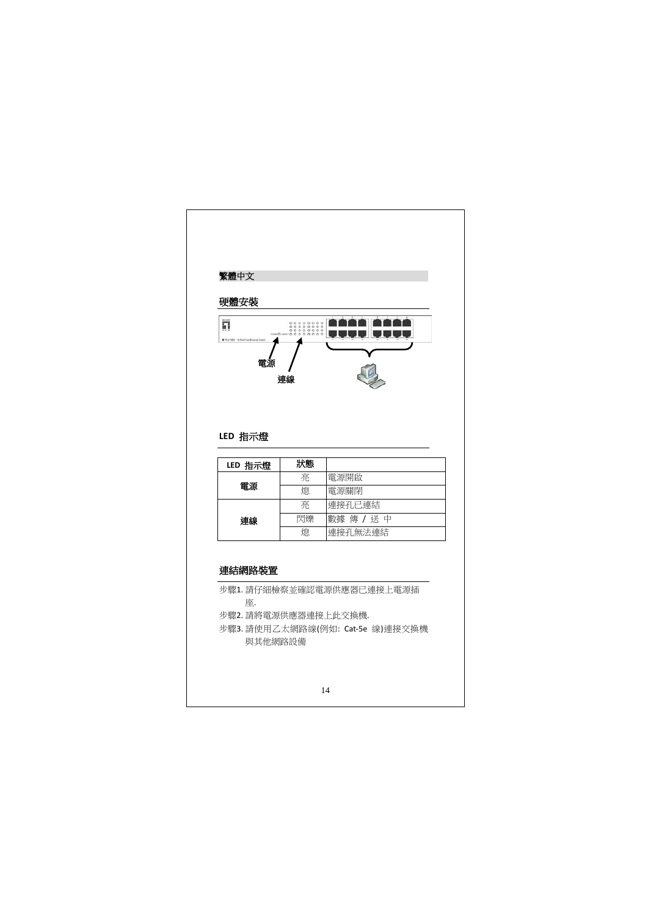![](_page_13_Figure_0.jpeg)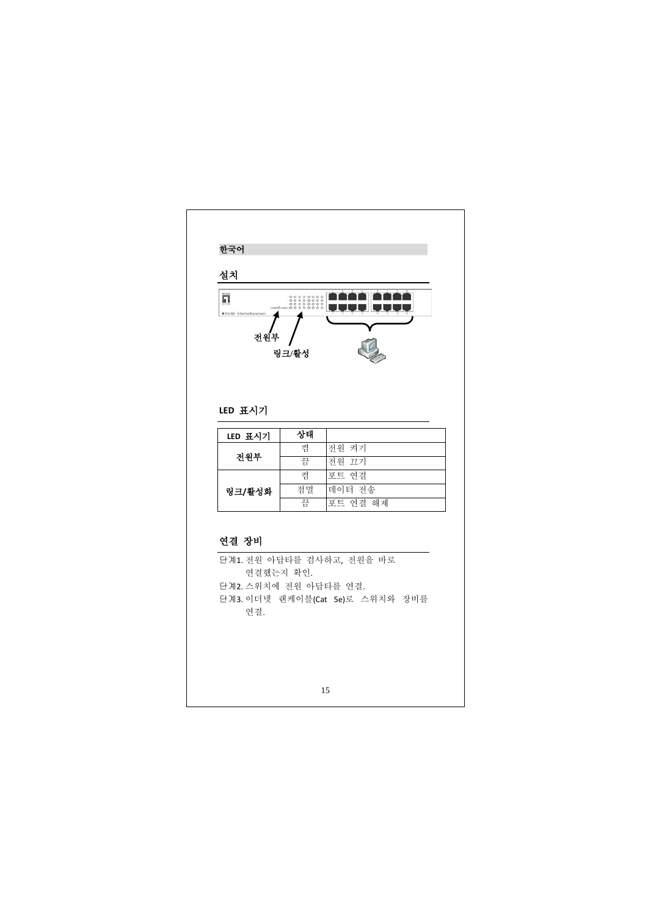![](_page_14_Figure_0.jpeg)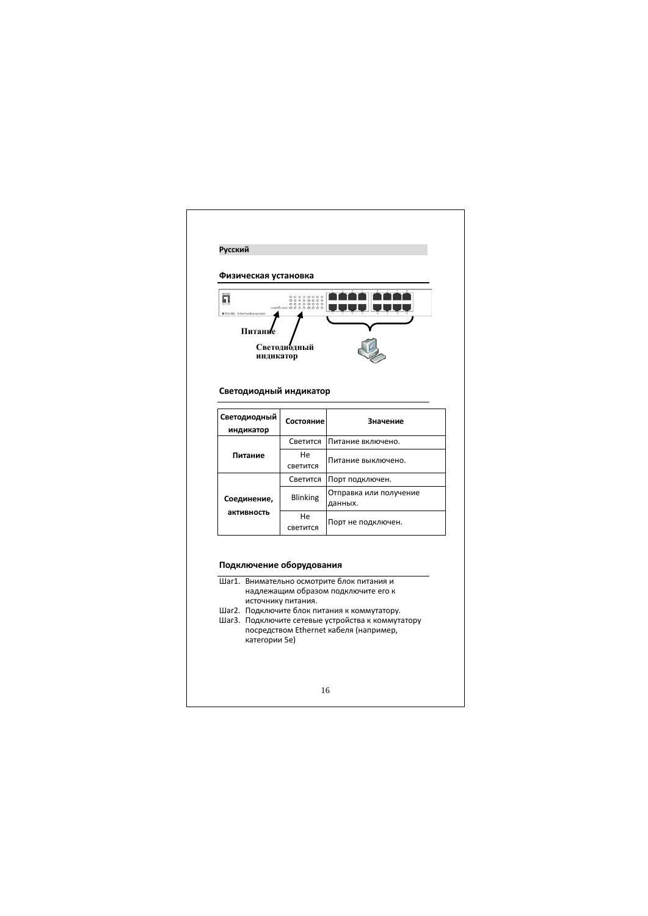| Физическая установка      |                                     |                                                                                                                                                                                                                                  |
|---------------------------|-------------------------------------|----------------------------------------------------------------------------------------------------------------------------------------------------------------------------------------------------------------------------------|
| п<br>Питани<br>индикатор  | Светодиодный                        |                                                                                                                                                                                                                                  |
| Светодиодный индикатор    |                                     |                                                                                                                                                                                                                                  |
| Светодиодный<br>индикатор | Состояние                           | Значение                                                                                                                                                                                                                         |
|                           | Светится                            | Питание включено.                                                                                                                                                                                                                |
| Питание                   | He<br>светится                      | Питание выключено.                                                                                                                                                                                                               |
|                           | Светится                            | Порт подключен.                                                                                                                                                                                                                  |
| Соединение,               | <b>Blinking</b>                     | Отправка или получение<br>данных.                                                                                                                                                                                                |
| активность                | He<br>светится                      | Порт не подключен.                                                                                                                                                                                                               |
| Подключение оборудования  | источнику питания.<br>категории 5е) | Шаг1. Внимательно осмотрите блок питания и<br>надлежащим образом подключите его к<br>Шаг2. Подключите блок питания к коммутатору.<br>Шаг3. Подключите сетевые устройства к коммутатору<br>посредством Ethernet кабеля (например, |